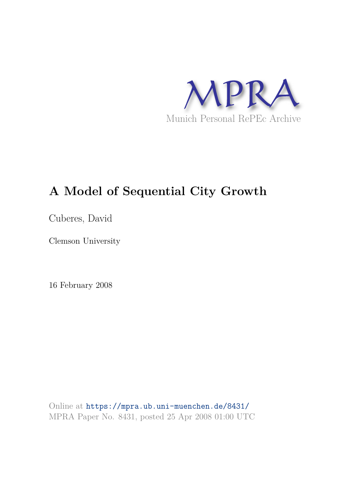

# **A Model of Sequential City Growth**

Cuberes, David

Clemson University

16 February 2008

Online at https://mpra.ub.uni-muenchen.de/8431/ MPRA Paper No. 8431, posted 25 Apr 2008 01:00 UTC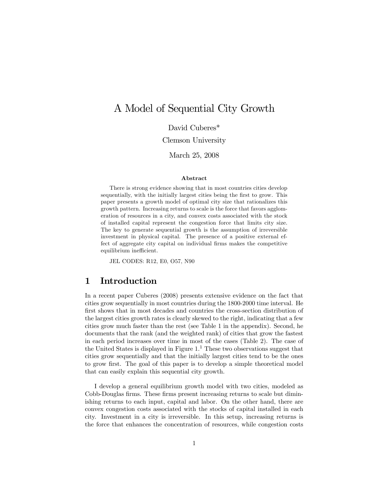## A Model of Sequential City Growth

David Cuberes\*

Clemson University

March 25, 2008

#### Abstract

There is strong evidence showing that in most countries cities develop sequentially, with the initially largest cities being the first to grow. This paper presents a growth model of optimal city size that rationalizes this growth pattern. Increasing returns to scale is the force that favors agglomeration of resources in a city, and convex costs associated with the stock of installed capital represent the congestion force that limits city size. The key to generate sequential growth is the assumption of irreversible investment in physical capital. The presence of a positive external effect of aggregate city capital on individual firms makes the competitive equilibrium inefficient.

JEL CODES: R12, E0, O57, N90

## 1 Introduction

In a recent paper Cuberes (2008) presents extensive evidence on the fact that cities grow sequentially in most countries during the 1800-2000 time interval. He first shows that in most decades and countries the cross-section distribution of the largest cities growth rates is clearly skewed to the right, indicating that a few cities grow much faster than the rest (see Table 1 in the appendix). Second, he documents that the rank (and the weighted rank) of cities that grow the fastest in each period increases over time in most of the cases (Table 2). The case of the United States is displayed in Figure  $1<sup>1</sup>$  These two observations suggest that cities grow sequentially and that the initially largest cities tend to be the ones to grow first. The goal of this paper is to develop a simple theoretical model that can easily explain this sequential city growth.

I develop a general equilibrium growth model with two cities, modeled as Cobb-Douglas firms. These firms present increasing returns to scale but diminishing returns to each input, capital and labor. On the other hand, there are convex congestion costs associated with the stocks of capital installed in each city. Investment in a city is irreversible. In this setup, increasing returns is the force that enhances the concentration of resources, while congestion costs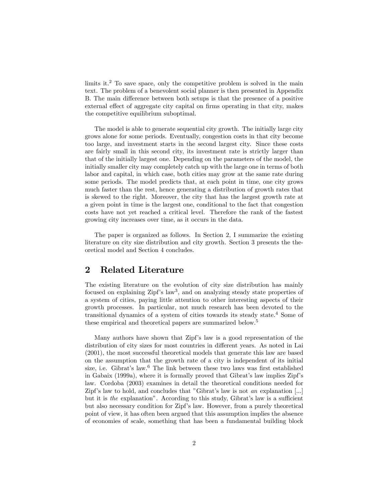limits it.<sup>2</sup> To save space, only the competitive problem is solved in the main text. The problem of a benevolent social planner is then presented in Appendix B. The main difference between both setups is that the presence of a positive external effect of aggregate city capital on firms operating in that city, makes the competitive equilibrium suboptimal.

The model is able to generate sequential city growth. The initially large city grows alone for some periods. Eventually, congestion costs in that city become too large, and investment starts in the second largest city. Since these costs are fairly small in this second city, its investment rate is strictly larger than that of the initially largest one. Depending on the parameters of the model, the initially smaller city may completely catch up with the large one in terms of both labor and capital, in which case, both cities may grow at the same rate during some periods. The model predicts that, at each point in time, one city grows much faster than the rest, hence generating a distribution of growth rates that is skewed to the right. Moreover, the city that has the largest growth rate at a given point in time is the largest one, conditional to the fact that congestion costs have not yet reached a critical level. Therefore the rank of the fastest growing city increases over time, as it occurs in the data.

The paper is organized as follows. In Section 2, I summarize the existing literature on city size distribution and city growth. Section 3 presents the theoretical model and Section 4 concludes.

## 2 Related Literature

The existing literature on the evolution of city size distribution has mainly focused on explaining Zipf's law<sup>3</sup>, and on analyzing steady state properties of a system of cities, paying little attention to other interesting aspects of their growth processes. In particular, not much research has been devoted to the transitional dynamics of a system of cities towards its steady state.<sup>4</sup> Some of these empirical and theoretical papers are summarized below.<sup>5</sup>

Many authors have shown that Zipf's law is a good representation of the distribution of city sizes for most countries in different years. As noted in Lai (2001), the most successful theoretical models that generate this law are based on the assumption that the growth rate of a city is independent of its initial size, i.e. Gibrat's law.<sup>6</sup> The link between these two laws was first established in Gabaix (1999a), where it is formally proved that Gibrat's law implies Zipf's law. Cordoba (2003) examines in detail the theoretical conditions needed for Zipf's law to hold, and concludes that "Gibrat's law is not an explanation [...] but it is the explanation". According to this study, Gibrat's law is a sufficient but also necessary condition for Zipf's law. However, from a purely theoretical point of view, it has often been argued that this assumption implies the absence of economies of scale, something that has been a fundamental building block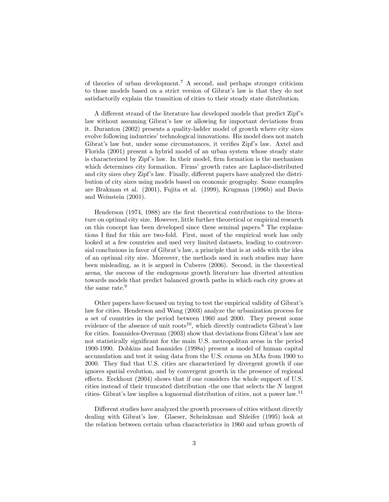of theories of urban development.<sup>7</sup> A second, and perhaps stronger criticism to those models based on a strict version of Gibrat's law is that they do not satisfactorily explain the transition of cities to their steady state distribution.

A different strand of the literature has developed models that predict Zipf's law without assuming Gibrat's law or allowing for important deviations from it. Duranton (2002) presents a quality-ladder model of growth where city sizes evolve following industries' technological innovations. His model does not match Gibrat's law but, under some circumstances, it verifies Zipf's law. Axtel and Florida (2001) present a hybrid model of an urban system whose steady state is characterized by Zipf's law. In their model, firm formation is the mechanism which determines city formation. Firms' growth rates are Laplace-distributed and city sizes obey Zipf's law. Finally, different papers have analyzed the distribution of city sizes using models based on economic geography. Some examples are Brakman et al. (2001), Fujita et al. (1999), Krugman (1996b) and Davis and Weinstein (2001).

Henderson (1974, 1988) are the first theoretical contributions to the literature on optimal city size. However, little further theoretical or empirical research on this concept has been developed since these seminal papers.<sup>8</sup> The explanations I find for this are two-fold. First, most of the empirical work has only looked at a few countries and used very limited datasets, leading to controversial conclusions in favor of Gibrat's law, a principle that is at odds with the idea of an optimal city size. Moreover, the methods used in such studies may have been misleading, as it is argued in Cuberes (2006). Second, in the theoretical arena, the success of the endogenous growth literature has diverted attention towards models that predict balanced growth paths in which each city grows at the same rate.<sup>9</sup>

Other papers have focused on trying to test the empirical validity of Gibrat's law for cities. Henderson and Wang (2003) analyze the urbanization process for a set of countries in the period between 1960 and 2000. They present some evidence of the absence of unit  $\text{roots}^{10}$ , which directly contradicts Gibrat's law for cities. Ioannides-Overman (2003) show that deviations from Gibrat's law are not statistically significant for the main U.S. metropolitan areas in the period 1900-1990. Dobkins and Ioannides (1998a) present a model of human capital accumulation and test it using data from the U.S. census on MAs from 1900 to 2000. They find that U.S. cities are characterized by divergent growth if one ignores spatial evolution, and by convergent growth in the presence of regional effects. Eeckhout (2004) shows that if one considers the whole support of U.S. cities instead of their truncated distribution -the one that selects the N largest cities- Gibrat's law implies a lognormal distribution of cities, not a power law.<sup>11</sup>

Different studies have analyzed the growth processes of cities without directly dealing with Gibrat's law. Glaeser, Scheinkman and Shleifer (1995) look at the relation between certain urban characteristics in 1960 and urban growth of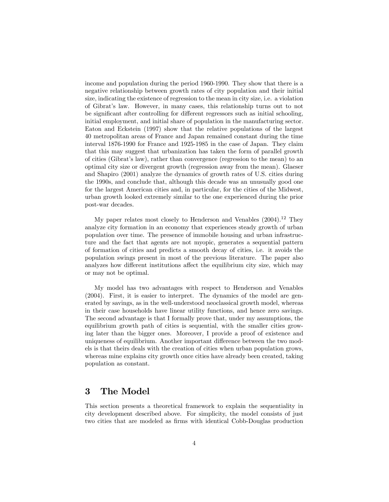income and population during the period 1960-1990. They show that there is a negative relationship between growth rates of city population and their initial size, indicating the existence of regression to the mean in city size, i.e. a violation of Gibrat's law. However, in many cases, this relationship turns out to not be significant after controlling for different regressors such as initial schooling, initial employment, and initial share of population in the manufacturing sector. Eaton and Eckstein (1997) show that the relative populations of the largest 40 metropolitan areas of France and Japan remained constant during the time interval 1876-1990 for France and 1925-1985 in the case of Japan. They claim that this may suggest that urbanization has taken the form of parallel growth of cities (Gibrat's law), rather than convergence (regression to the mean) to an optimal city size or divergent growth (regression away from the mean). Glaeser and Shapiro (2001) analyze the dynamics of growth rates of U.S. cities during the 1990s, and conclude that, although this decade was an unusually good one for the largest American cities and, in particular, for the cities of the Midwest, urban growth looked extremely similar to the one experienced during the prior post-war decades.

My paper relates most closely to Henderson and Venables  $(2004).<sup>12</sup>$  They analyze city formation in an economy that experiences steady growth of urban population over time. The presence of immobile housing and urban infrastructure and the fact that agents are not myopic, generates a sequential pattern of formation of cities and predicts a smooth decay of cities, i.e. it avoids the population swings present in most of the previous literature. The paper also analyzes how different institutions affect the equilibrium city size, which may or may not be optimal.

My model has two advantages with respect to Henderson and Venables (2004). First, it is easier to interpret. The dynamics of the model are generated by savings, as in the well-understood neoclassical growth model, whereas in their case households have linear utility functions, and hence zero savings. The second advantage is that I formally prove that, under my assumptions, the equilibrium growth path of cities is sequential, with the smaller cities growing later than the bigger ones. Moreover, I provide a proof of existence and uniqueness of equilibrium. Another important difference between the two models is that theirs deals with the creation of cities when urban population grows, whereas mine explains city growth once cities have already been created, taking population as constant.

## 3 The Model

This section presents a theoretical framework to explain the sequentiality in city development described above. For simplicity, the model consists of just two cities that are modeled as firms with identical Cobb-Douglas production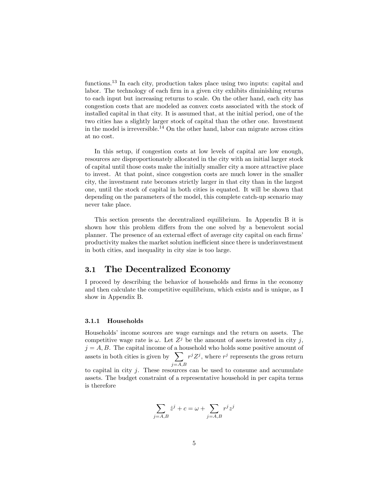functions.<sup>13</sup> In each city, production takes place using two inputs: capital and labor. The technology of each firm in a given city exhibits diminishing returns to each input but increasing returns to scale. On the other hand, each city has congestion costs that are modeled as convex costs associated with the stock of installed capital in that city. It is assumed that, at the initial period, one of the two cities has a slightly larger stock of capital than the other one. Investment in the model is irreversible.<sup>14</sup> On the other hand, labor can migrate across cities at no cost.

In this setup, if congestion costs at low levels of capital are low enough, resources are disproportionately allocated in the city with an initial larger stock of capital until those costs make the initially smaller city a more attractive place to invest. At that point, since congestion costs are much lower in the smaller city, the investment rate becomes strictly larger in that city than in the largest one, until the stock of capital in both cities is equated. It will be shown that depending on the parameters of the model, this complete catch-up scenario may never take place.

This section presents the decentralized equilibrium. In Appendix B it is shown how this problem differs from the one solved by a benevolent social planner. The presence of an external effect of average city capital on each firms' productivity makes the market solution inefficient since there is underinvestment in both cities, and inequality in city size is too large.

## 3.1 The Decentralized Economy

I proceed by describing the behavior of households and firms in the economy and then calculate the competitive equilibrium, which exists and is unique, as I show in Appendix B.

#### 3.1.1 Households

Households' income sources are wage earnings and the return on assets. The competitive wage rate is  $\omega$ . Let  $Z^j$  be the amount of assets invested in city j,  $j = A, B$ . The capital income of a household who holds some positive amount of assets in both cities is given by  $\sum$  $j = A, B$  $r^{j}Z^{j}$ , where  $r^{j}$  represents the gross return

to capital in city  $j$ . These resources can be used to consume and accumulate assets. The budget constraint of a representative household in per capita terms is therefore

$$
\sum_{j=A,B} \dot{z}^j + c = \omega + \sum_{j=A,B} r^j z^j
$$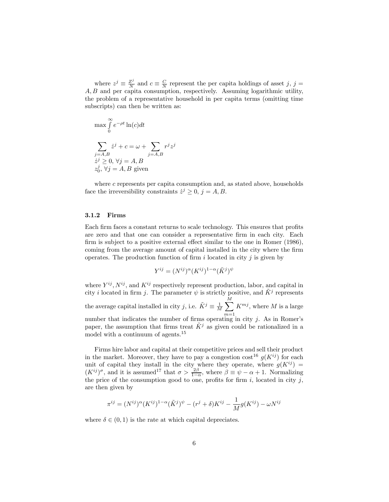where  $z^j \equiv \frac{Z^j}{N}$  $\frac{Z^j}{N}$  and  $c \equiv \frac{C}{N}$  represent the per capita holdings of asset j, j = A, B and per capita consumption, respectively. Assuming logarithmic utility, the problem of a representative household in per capita terms (omitting time subscripts) can then be written as:

$$
\max \int_{0}^{\infty} e^{-\rho t} \ln(c) dt
$$
  

$$
\sum_{j=A,B} \dot{z}^{j} + c = \omega + \sum_{j=A,B} r^{j} z^{j}
$$
  

$$
\dot{z}^{j} \geq 0, \forall j = A, B
$$
  

$$
z_{0}^{j}, \forall j = A, B \text{ given}
$$

where  $c$  represents per capita consumption and, as stated above, households face the irreversibility constraints  $\dot{z}^j \geq 0$ ,  $j = A, B$ .

#### 3.1.2 Firms

Each firm faces a constant returns to scale technology. This ensures that profits are zero and that one can consider a representative firm in each city. Each firm is subject to a positive external effect similar to the one in Romer (1986), coming from the average amount of capital installed in the city where the firm operates. The production function of firm i located in city  $j$  is given by

$$
Y^{ij} = (N^{ij})^{\alpha} (K^{ij})^{1-\alpha} (\tilde{K}^j)^{\psi}
$$

where  $Y^{ij}$ ,  $N^{ij}$ , and  $K^{ij}$  respectively represent production, labor, and capital in city *i* located in firm *j*. The parameter  $\psi$  is strictly positive, and  $\tilde{K}^j$  represents the average capital installed in city j, i.e.  $\tilde{K}^j \equiv \frac{1}{M} \sum^M$  $m=1$  $K^{mj}$ , where M is a large number that indicates the number of firms operating in city  $j$ . As in Romer's paper, the assumption that firms treat  $\tilde{K}^j$  as given could be rationalized in a model with a continuum of agents.<sup>15</sup>

Firms hire labor and capital at their competitive prices and sell their product in the market. Moreover, they have to pay a congestion cost<sup>16</sup>  $g(K^{ij})$  for each unit of capital they install in the city where they operate, where  $g(K^{ij}) =$  $(K^{ij})^{\sigma}$ , and it is assumed<sup>17</sup> that  $\sigma > \frac{2\beta}{1-\alpha}$ , where  $\beta \equiv \psi - \alpha + 1$ . Normalizing the price of the consumption good to one, profits for firm i, located in city j, are then given by

$$
\pi^{ij} = (N^{ij})^{\alpha} (K^{ij})^{1-\alpha} (\tilde{K}^j)^{\psi} - (r^j + \delta) K^{ij} - \frac{1}{M} g(K^{ij}) - \omega N^{ij}
$$

where  $\delta \in (0,1)$  is the rate at which capital depreciates.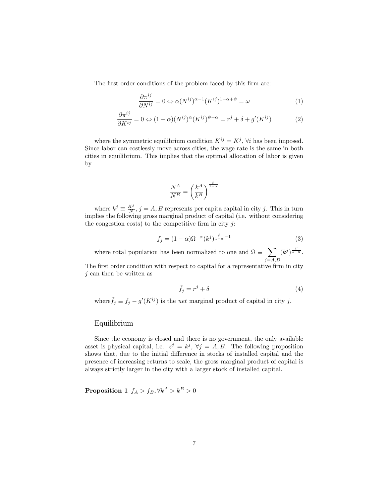The first order conditions of the problem faced by this firm are:

$$
\frac{\partial \pi^{ij}}{\partial N^{ij}} = 0 \Leftrightarrow \alpha (N^{ij})^{\alpha - 1} (K^{ij})^{1 - \alpha + \psi} = \omega \tag{1}
$$

$$
\frac{\partial \pi^{ij}}{\partial K^{ij}} = 0 \Leftrightarrow (1 - \alpha)(N^{ij})^{\alpha} (K^{ij})^{\psi - \alpha} = r^j + \delta + g'(K^{ij})
$$
(2)

where the symmetric equilibrium condition  $K^{ij} = K^j$ ,  $\forall i$  has been imposed. Since labor can costlessly move across cities, the wage rate is the same in both cities in equilibrium. This implies that the optimal allocation of labor is given by

$$
\frac{N^A}{N^B} = \left(\frac{k^A}{k^B}\right)^{\frac{\beta}{1-\alpha}}
$$

where  $k^j \equiv \frac{K^j}{N}$ ,  $j = A, B$  represents per capital in city j. This in turn implies the following gross marginal product of capital (i.e. without considering the congestion costs) to the competitive firm in city  $i$ :

$$
f_j = (1 - \alpha)\Omega^{-\alpha} (k^j)^{\frac{\beta}{1 - \alpha} - 1} \tag{3}
$$

where total population has been normalized to one and  $\Omega \equiv \sum$  $j = A, B$  $(k^{j})^{\frac{\beta}{1-\alpha}}$ .

The first order condition with respect to capital for a representative firm in city  $j$  can then be written as

$$
\tilde{f}_j = r^j + \delta \tag{4}
$$

where  $\tilde{f}_j \equiv f_j - g'(K^{ij})$  is the *net* marginal product of capital in city j.

#### Equilibrium

Since the economy is closed and there is no government, the only available asset is physical capital, i.e.  $z^j = k^j$ ,  $\forall j = A, B$ . The following proposition shows that, due to the initial difference in stocks of installed capital and the presence of increasing returns to scale, the gross marginal product of capital is always strictly larger in the city with a larger stock of installed capital.

Proposition 1  $f_A > f_B, \forall k^A > k^B > 0$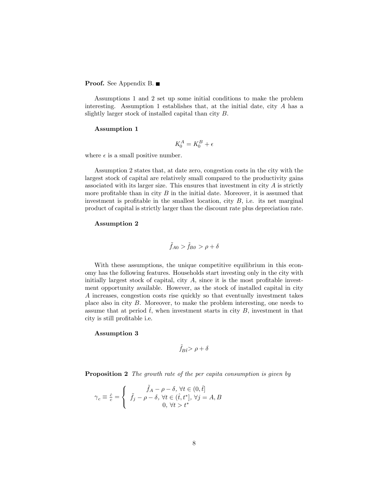#### Proof. See Appendix B. ■

Assumptions 1 and 2 set up some initial conditions to make the problem interesting. Assumption 1 establishes that, at the initial date, city  $A$  has a slightly larger stock of installed capital than city B.

#### Assumption 1

$$
K_0^A = K_0^B + \epsilon
$$

where  $\epsilon$  is a small positive number.

Assumption 2 states that, at date zero, congestion costs in the city with the largest stock of capital are relatively small compared to the productivity gains associated with its larger size. This ensures that investment in city  $A$  is strictly more profitable than in city  $B$  in the initial date. Moreover, it is assumed that investment is profitable in the smallest location, city  $B$ , i.e. its net marginal product of capital is strictly larger than the discount rate plus depreciation rate.

#### Assumption 2

$$
\tilde{f}_{A0} > \tilde{f}_{B0} > \rho + \delta
$$

With these assumptions, the unique competitive equilibrium in this economy has the following features. Households start investing only in the city with initially largest stock of capital, city A, since it is the most profitable investment opportunity available. However, as the stock of installed capital in city A increases, congestion costs rise quickly so that eventually investment takes place also in city B. Moreover, to make the problem interesting, one needs to assume that at period  $\hat{t}$ , when investment starts in city B, investment in that city is still profitable i.e.

#### Assumption 3

$$
\tilde{f}_{B\hat{t}}\!\!>\rho+\delta
$$

**Proposition 2** The growth rate of the per capita consumption is given by

$$
\gamma_c \equiv \frac{\dot{e}}{c} = \begin{cases} \tilde{f}_A - \rho - \delta, \forall t \in (0, \hat{t}] \\ \tilde{f}_j - \rho - \delta, \forall t \in (\hat{t}, t^*], \forall j = A, B \\ 0, \forall t > t^* \end{cases}
$$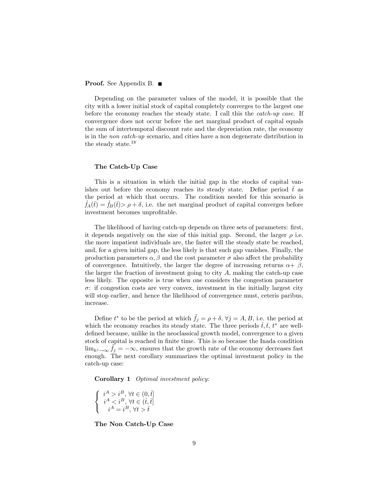#### Proof. See Appendix B. ■

Depending on the parameter values of the model, it is possible that the city with a lower initial stock of capital completely converges to the largest one before the economy reaches the steady state. I call this the catch-up case. If convergence does not occur before the net marginal product of capital equals the sum of intertemporal discount rate and the depreciation rate, the economy is in the non catch-up scenario, and cities have a non degenerate distribution in the steady state.<sup>18</sup>

#### The Catch-Up Case

This is a situation in which the initial gap in the stocks of capital vanishes out before the economy reaches its steady state. Define period  $\bar{t}$  as the period at which that occurs. The condition needed for this scenario is  $f_A(\bar{t}) = f_B(\bar{t}) > \rho + \delta$ , i.e. the net marginal product of capital converges before investment becomes unprofitable.

The likelihood of having catch-up depends on three sets of parameters: first, it depends negatively on the size of this initial gap. Second, the larger  $\rho$  i.e. the more impatient individuals are, the faster will the steady state be reached, and, for a given initial gap, the less likely is that such gap vanishes. Finally, the production parameters  $\alpha$ ,  $\beta$  and the cost parameter  $\sigma$  also affect the probability of convergence. Intuitively, the larger the degree of increasing returns  $\alpha + \beta$ , the larger the fraction of investment going to city  $A$ , making the catch-up case less likely. The opposite is true when one considers the congestion parameter  $\sigma$ : if congestion costs are very convex, investment in the initially largest city will stop earlier, and hence the likelihood of convergence must, ceteris paribus, increase.

Define  $t^*$  to be the period at which  $\tilde{f}_j = \rho + \delta$ ,  $\forall j = A, B$ , i.e. the period at which the economy reaches its steady state. The three periods  $t, t, t^*$  are welldefined because, unlike in the neoclassical growth model, convergence to a given stock of capital is reached in finite time. This is so because the Inada condition  $\lim_{k,j\to\infty} \tilde{f}_j = -\infty$ , ensures that the growth rate of the economy decreases fast enough. The next corollary summarizes the optimal investment policy in the catch-up case:

Corollary 1 Optimal investment policy:

$$
\left\{\begin{array}{c} i^{A}>i^{B},\,\forall t\in(0,\hat{t}]\\ i^{A}\bar{t} \end{array}\right.
$$

The Non Catch-Up Case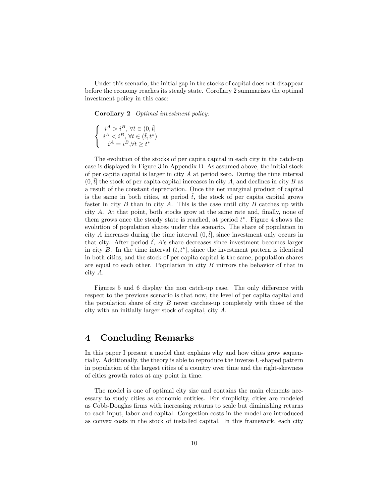Under this scenario, the initial gap in the stocks of capital does not disappear before the economy reaches its steady state. Corollary 2 summarizes the optimal investment policy in this case:

Corollary 2 Optimal investment policy:

$$
\left\{\begin{array}{c} i^{A}>i^{B},\,\forall t\in(0,\widehat{t}]\\ i^{A}
$$

The evolution of the stocks of per capita capital in each city in the catch-up case is displayed in Figure 3 in Appendix D. As assumed above, the initial stock of per capital capital is larger in city  $A$  at period zero. During the time interval  $(0, t]$  the stock of per capital increases in city A, and declines in city B as a result of the constant depreciation. Once the net marginal product of capital is the same in both cities, at period  $\hat{t}$ , the stock of per capital grows faster in city  $B$  than in city  $A$ . This is the case until city  $B$  catches up with city A. At that point, both stocks grow at the same rate and, finally, none of them grows once the steady state is reached, at period  $t^*$ . Figure 4 shows the evolution of population shares under this scenario. The share of population in city A increases during the time interval  $(0, \hat{t})$ , since investment only occurs in that city. After period t, A's share decreases since investment becomes larger in city B. In the time interval  $(\bar{t}, t^*]$ , since the investment pattern is identical in both cities, and the stock of per capita capital is the same, population shares are equal to each other. Population in city  $B$  mirrors the behavior of that in city A.

Figures 5 and 6 display the non catch-up case. The only difference with respect to the previous scenario is that now, the level of per capita capital and the population share of city B never catches-up completely with those of the city with an initially larger stock of capital, city A.

## 4 Concluding Remarks

In this paper I present a model that explains why and how cities grow sequentially. Additionally, the theory is able to reproduce the inverse U-shaped pattern in population of the largest cities of a country over time and the right-skewness of cities growth rates at any point in time.

The model is one of optimal city size and contains the main elements necessary to study cities as economic entities. For simplicity, cities are modeled as Cobb-Douglas firms with increasing returns to scale but diminishing returns to each input, labor and capital. Congestion costs in the model are introduced as convex costs in the stock of installed capital. In this framework, each city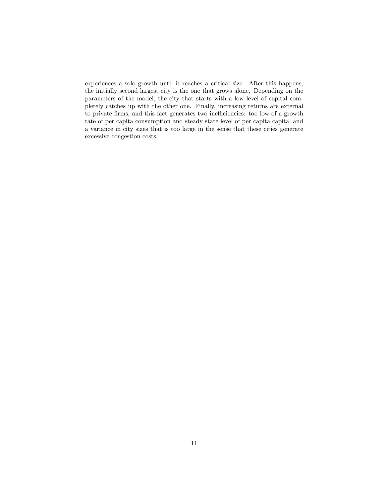experiences a solo growth until it reaches a critical size. After this happens, the initially second largest city is the one that grows alone. Depending on the parameters of the model, the city that starts with a low level of capital completely catches up with the other one. Finally, increasing returns are external to private firms, and this fact generates two inefficiencies: too low of a growth rate of per capita consumption and steady state level of per capita capital and a variance in city sizes that is too large in the sense that these cities generate excessive congestion costs.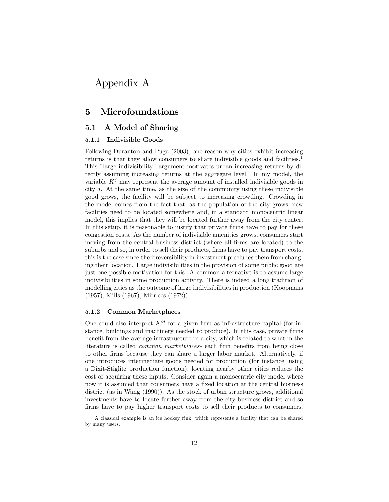## Appendix A

## 5 Microfoundations

#### 5.1 A Model of Sharing

#### 5.1.1 Indivisible Goods

Following Duranton and Puga (2003), one reason why cities exhibit increasing returns is that they allow consumers to share indivisible goods and facilities.<sup>1</sup> This "large indivisibility" argument motivates urban increasing returns by directly assuming increasing returns at the aggregate level. In my model, the variable  $\tilde{K}^j$  may represent the average amount of installed indivisible goods in city j. At the same time, as the size of the community using these indivisible good grows, the facility will be subject to increasing crowding. Crowding in the model comes from the fact that, as the population of the city grows, new facilities need to be located somewhere and, in a standard monocentric linear model, this implies that they will be located further away from the city center. In this setup, it is reasonable to justify that private firms have to pay for these congestion costs. As the number of indivisible amenities grows, consumers start moving from the central business district (where all firms are located) to the suburbs and so, in order to sell their products, firms have to pay transport costs. this is the case since the irreversibility in investment precludes them from changing their location. Large indivisibilities in the provision of some public good are just one possible motivation for this. A common alternative is to assume large indivisibilities in some production activity. There is indeed a long tradition of modelling cities as the outcome of large indivisibilities in production (Koopmans (1957), Mills (1967), Mirrlees (1972)).

#### 5.1.2 Common Marketplaces

One could also interpret  $K^{ij}$  for a given firm as infrastructure capital (for instance, buildings and machinery needed to produce). In this case, private firms benefit from the average infrastructure in a city, which is related to what in the literature is called common marketplaces- each firm benefits from being close to other firms because they can share a larger labor market. Alternatively, if one introduces intermediate goods needed for production (for instance, using a Dixit-Stiglitz production function), locating nearby other cities reduces the cost of acquiring these inputs. Consider again a monocentric city model where now it is assumed that consumers have a fixed location at the central business district (as in Wang (1990)). As the stock of urban structure grows, additional investments have to locate further away from the city business district and so firms have to pay higher transport costs to sell their products to consumers.

 $1<sup>1</sup>A$  classical example is an ice hockey rink, which represents a facility that can be shared by many users.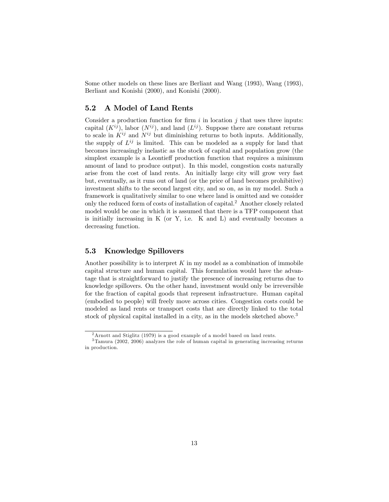Some other models on these lines are Berliant and Wang (1993), Wang (1993), Berliant and Konishi (2000), and Konishi (2000).

#### 5.2 A Model of Land Rents

Consider a production function for firm  $i$  in location  $j$  that uses three inputs: capital  $(K^{ij})$ , labor  $(N^{ij})$ , and land  $(L^{ij})$ . Suppose there are constant returns to scale in  $K^{ij}$  and  $N^{ij}$  but diminishing returns to both inputs. Additionally, the supply of  $L^{ij}$  is limited. This can be modeled as a supply for land that becomes increasingly inelastic as the stock of capital and population grow (the simplest example is a Leontieff production function that requires a minimum amount of land to produce output). In this model, congestion costs naturally arise from the cost of land rents. An initially large city will grow very fast but, eventually, as it runs out of land (or the price of land becomes prohibitive) investment shifts to the second largest city, and so on, as in my model. Such a framework is qualitatively similar to one where land is omitted and we consider only the reduced form of costs of installation of capital.<sup>2</sup> Another closely related model would be one in which it is assumed that there is a TFP component that is initially increasing in  $K$  (or  $Y$ , i.e.  $K$  and  $L$ ) and eventually becomes a decreasing function.

### 5.3 Knowledge Spillovers

Another possibility is to interpret  $K$  in my model as a combination of immobile capital structure and human capital. This formulation would have the advantage that is straightforward to justify the presence of increasing returns due to knowledge spillovers. On the other hand, investment would only be irreversible for the fraction of capital goods that represent infrastructure. Human capital (embodied to people) will freely move across cities. Congestion costs could be modeled as land rents or transport costs that are directly linked to the total stock of physical capital installed in a city, as in the models sketched above.<sup>3</sup>

<sup>2</sup>Arnott and Stiglitz (1979) is a good example of a model based on land rents.

<sup>3</sup>Tamura (2002, 2006) analyzes the role of human capital in generating increasing returns in production.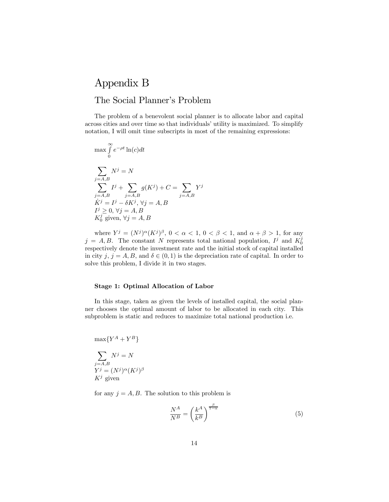# Appendix B The Social Planner's Problem

The problem of a benevolent social planner is to allocate labor and capital across cities and over time so that individuals' utility is maximized. To simplify notation, I will omit time subscripts in most of the remaining expressions:

$$
\max \int_{0}^{\infty} e^{-\rho t} \ln(c) dt
$$
  

$$
\sum_{j=A,B} N^{j} = N
$$
  

$$
\sum_{j=A,B} I^{j} + \sum_{j=A,B} g(K^{j}) + C = \sum_{j=A,B} Y^{j}
$$
  

$$
\dot{K}^{j} = I^{j} - \delta K^{j}, \forall j = A, B
$$
  

$$
I^{j} \geq 0, \forall j = A, B
$$
  

$$
K_{0}^{j} \text{ given, } \forall j = A, B
$$

where  $Y^j = (N^j)^{\alpha} (K^j)^{\beta}$ ,  $0 < \alpha < 1$ ,  $0 < \beta < 1$ , and  $\alpha + \beta > 1$ , for any  $j = A, B$ . The constant N represents total national population,  $I^j$  and  $K_0^j$ respectively denote the investment rate and the initial stock of capital installed in city j,  $j = A, B$ , and  $\delta \in (0, 1)$  is the depreciation rate of capital. In order to solve this problem, I divide it in two stages.

#### Stage 1: Optimal Allocation of Labor

In this stage, taken as given the levels of installed capital, the social planner chooses the optimal amount of labor to be allocated in each city. This subproblem is static and reduces to maximize total national production i.e.

$$
\max\{Y^A + Y^B\}
$$

$$
\sum_{\substack{j=A,B\\Y^j=(N^j)^{\alpha}(K^j)^{\beta}}}\n\atop{K^j}\text{ given}
$$

for any  $j = A, B$ . The solution to this problem is

$$
\frac{N^A}{N^B} = \left(\frac{k^A}{k^B}\right)^{\frac{\beta}{1-\alpha}}\tag{5}
$$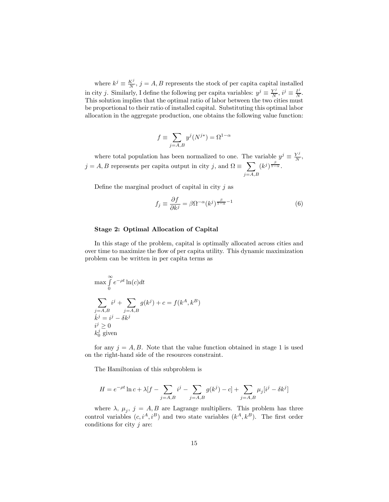where  $k^j \equiv \frac{K^j}{N}$ ,  $j = A, B$  represents the stock of per capital capital installed in city j. Similarly, I define the following per capita variables:  $y^j \equiv \frac{Y^j}{N}$  $\frac{Y^j}{N}, i^j \equiv \frac{I^j}{N}$  $\frac{I^{\prime}}{N}$ . This solution implies that the optimal ratio of labor between the two cities must be proportional to their ratio of installed capital. Substituting this optimal labor allocation in the aggregate production, one obtains the following value function:

$$
f \equiv \sum_{j=A,B} y^j (N^{j*}) = \Omega^{1-\alpha}
$$

where total population has been normalized to one. The variable  $y^j \equiv \frac{Y^j}{N}$  $\frac{Y^J}{N}$  $j = A, B$  represents per capita output in city j, and  $\Omega \equiv \sum$  $j = A, B$  $(k^{j})^{\frac{\beta}{1-\alpha}}$ .

Define the marginal product of capital in city  $j$  as

$$
f_j \equiv \frac{\partial f}{\partial k^j} = \beta \Omega^{-\alpha} (k^j)^{\frac{\beta}{1-\alpha} - 1} \tag{6}
$$

#### Stage 2: Optimal Allocation of Capital

In this stage of the problem, capital is optimally allocated across cities and over time to maximize the flow of per capita utility. This dynamic maximization problem can be written in per capita terms as

$$
\max \int_{0}^{\infty} e^{-\rho t} \ln(c) dt
$$
  

$$
\sum_{j=A,B} i^{j} + \sum_{j=A,B} g(k^{j}) + c = f(k^{A}, k^{B})
$$
  

$$
\begin{aligned} k^{j} &= i^{j} - \delta k^{j} \\ k^{j} &\geq 0 \\ k^{j} &= \text{given} \end{aligned}
$$

for any  $j = A, B$ . Note that the value function obtained in stage 1 is used on the right-hand side of the resources constraint.

The Hamiltonian of this subproblem is

$$
H=e^{-\rho t}\ln c+\lambda[f-\sum_{j=A,B}i^j-\sum_{j=A,B}g(k^j)-c]+\sum_{j=A,B}\mu_j[i^j-\delta k^j]
$$

where  $\lambda$ ,  $\mu_j$ ,  $j = A, B$  are Lagrange multipliers. This problem has three control variables  $(c, i^A, i^B)$  and two state variables  $(k^A, k^B)$ . The first order conditions for city  $j$  are: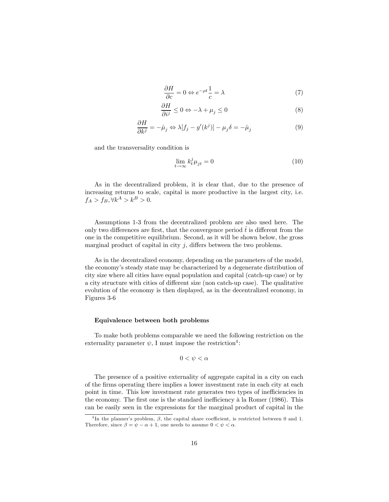$$
\frac{\partial H}{\partial c} = 0 \Leftrightarrow e^{-\rho t} \frac{1}{c} = \lambda \tag{7}
$$

$$
\frac{\partial H}{\partial i^j} \le 0 \Leftrightarrow -\lambda + \mu_j \le 0 \tag{8}
$$

$$
\frac{\partial H}{\partial k^j} = -\dot{\mu}_j \Leftrightarrow \lambda[f_j - g'(k^j)] - \mu_j \delta = -\dot{\mu}_j \tag{9}
$$

and the transversality condition is

$$
\lim_{t \to \infty} k_t^j \mu_{jt} = 0 \tag{10}
$$

As in the decentralized problem, it is clear that, due to the presence of increasing returns to scale, capital is more productive in the largest city, i.e.  $f_A > f_B, \forall k^A > k^B > 0.$ 

Assumptions 1-3 from the decentralized problem are also used here. The only two differences are first, that the convergence period  $\hat{t}$  is different from the one in the competitive equilibrium. Second, as it will be shown below, the gross marginal product of capital in city  $j$ , differs between the two problems.

As in the decentralized economy, depending on the parameters of the model, the economy's steady state may be characterized by a degenerate distribution of city size where all cities have equal population and capital (catch-up case) or by a city structure with cities of different size (non catch-up case). The qualitative evolution of the economy is then displayed, as in the decentralized economy, in Figures 3-6

#### Equivalence between both problems

To make both problems comparable we need the following restriction on the externality parameter  $\psi$ , I must impose the restriction<sup>4</sup>:

$$
0<\psi<\alpha
$$

The presence of a positive externality of aggregate capital in a city on each of the firms operating there implies a lower investment rate in each city at each point in time. This low investment rate generates two types of inefficiencies in the economy. The first one is the standard inefficiency à la Romer (1986). This can be easily seen in the expressions for the marginal product of capital in the

<sup>&</sup>lt;sup>4</sup>In the planner's problem,  $\beta$ , the capital share coefficient, is restricted between 0 and 1. Therefore, since  $\beta = \psi - \alpha + 1$ , one needs to assume  $0 < \psi < \alpha$ .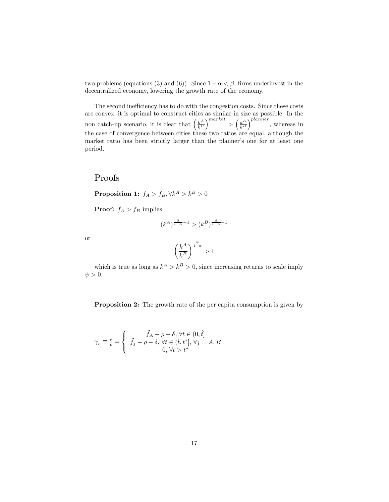two problems (equations (3) and (6)). Since  $1-\alpha < \beta$ , firms underinvest in the decentralized economy, lowering the growth rate of the economy.

The second inefficiency has to do with the congestion costs. Since these costs are convex, it is optimal to construct cities as similar in size as possible. In the non catch-up scenario, it is clear that  $\left(\frac{k^A}{k^B}\right)$  $k^B$  $\bigg\}^{market} > \bigg( \frac{k^A}{k^B} \bigg)$  $k^B$  $\big)^{planner}$ , whereas in the case of convergence between cities these two ratios are equal, although the market ratio has been strictly larger than the planner's one for at least one period.

## Proofs

Proposition 1:  $f_A > f_B, \forall k^A > k^B > 0$ 

**Proof:**  $f_A > f_B$  implies

$$
(k^A)^{\frac{\beta}{1-\alpha}-1}>(k^B)^{\frac{\beta}{1-\alpha}-1}
$$

or

$$
\left(\frac{k^A}{k^B}\right)^{\frac{\psi}{1-\alpha}}>1
$$

which is true as long as  $k^A > k^B > 0$ , since increasing returns to scale imply  $\psi > 0$ .

Proposition 2: The growth rate of the per capita consumption is given by

$$
\gamma_c \equiv \frac{\dot{\varepsilon}}{c} = \begin{cases} \tilde{f}_A - \rho - \delta, \,\forall t \in (0, \hat{t}] \\ \tilde{f}_j - \rho - \delta, \,\forall t \in (\hat{t}, t^*], \,\forall j = A, B \\ 0, \,\forall t > t^* \end{cases}
$$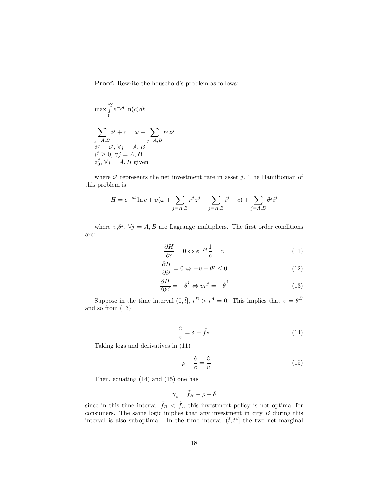Proof: Rewrite the household's problem as follows:

$$
\max \int_{0}^{\infty} e^{-\rho t} \ln(c) dt
$$
  

$$
\sum_{j=A,B} i^{j} + c = \omega + \sum_{j=A,B} r^{j} z^{j}
$$
  

$$
\dot{z}^{j} = i^{j}, \forall j = A, B
$$
  

$$
i^{j} \geq 0, \forall j = A, B
$$
  

$$
z_{0}^{j}, \forall j = A, B \text{ given}
$$

where  $i^j$  represents the net investment rate in asset j. The Hamiltonian of this problem is

$$
H = e^{-\rho t} \ln c + v(\omega + \sum_{j=A,B} r^j z^j - \sum_{j=A,B} i^j - c) + \sum_{j=A,B} \theta^j i^j
$$

where  $v, \theta^j, \forall j = A, B$  are Lagrange multipliers. The first order conditions are:

$$
\frac{\partial H}{\partial c} = 0 \Leftrightarrow e^{-\rho t} \frac{1}{c} = v \tag{11}
$$

$$
\frac{\partial H}{\partial i^j} = 0 \Leftrightarrow -v + \theta^j \le 0 \tag{12}
$$

$$
\frac{\partial H}{\partial k^j} = -\dot{\theta}^j \Leftrightarrow vr^j = -\dot{\theta}^j \tag{13}
$$

Suppose in the time interval  $(0, \hat{t}], i^B > i^A = 0$ . This implies that  $v = \theta^B$ and so from (13)

$$
\frac{\dot{v}}{v} = \delta - \tilde{f}_B \tag{14}
$$

Taking logs and derivatives in (11)

$$
-\rho - \frac{\dot{c}}{c} = \frac{\dot{v}}{v} \tag{15}
$$

Then, equating (14) and (15) one has

$$
\gamma_c = \tilde{f}_B - \rho - \delta
$$

since in this time interval  $\tilde{f}_B < \tilde{f}_A$  this investment policy is not optimal for consumers. The same logic implies that any investment in city  $B$  during this interval is also suboptimal. In the time interval  $(\hat{t}, t^*)$  the two net marginal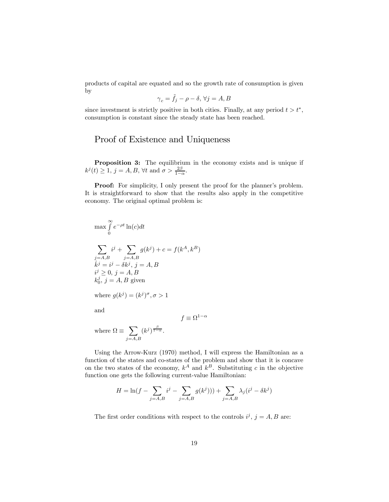products of capital are equated and so the growth rate of consumption is given by

$$
\gamma_c = \tilde{f}_j - \rho - \delta, \,\forall j = A, B
$$

since investment is strictly positive in both cities. Finally, at any period  $t > t^*$ , consumption is constant since the steady state has been reached.

## Proof of Existence and Uniqueness

Proposition 3: The equilibrium in the economy exists and is unique if  $k^{j}(t) \geq 1, j = A, B, \forall t \text{ and } \sigma > \frac{2\beta}{1-\alpha}.$ 

Proof: For simplicity, I only present the proof for the planner's problem. It is straightforward to show that the results also apply in the competitive economy. The original optimal problem is:

$$
\max \int_{0}^{\infty} e^{-\rho t} \ln(c) dt
$$
  

$$
\sum_{j=A,B} i^{j} + \sum_{j=A,B} g(k^{j}) + c = f(k^{A}, k^{B})
$$
  

$$
k^{j} = i^{j} - \delta k^{j}, j = A, B
$$
  

$$
i^{j} \geq 0, j = A, B
$$
  

$$
k_{0}^{j}, j = A, B \text{ given}
$$
  
where  $g(k^{j}) = (k^{j})^{\sigma}, \sigma > 1$ 

and

 $f \equiv \Omega^{1-\alpha}$ 

where  $\Omega \equiv \sum$  $j = A, B$  $(k^{j})^{\frac{\beta}{1-\alpha}}$ .

Using the Arrow-Kurz (1970) method, I will express the Hamiltonian as a function of the states and co-states of the problem and show that it is concave on the two states of the economy,  $k^A$  and  $k^B$ . Substituting c in the objective function one gets the following current-value Hamiltonian:

$$
H = \ln(f - \sum_{j=A,B} i^{j} - \sum_{j=A,B} g(k^{j}))) + \sum_{j=A,B} \lambda_{j} (i^{j} - \delta k^{j})
$$

The first order conditions with respect to the controls  $i^j$ ,  $j = A, B$  are: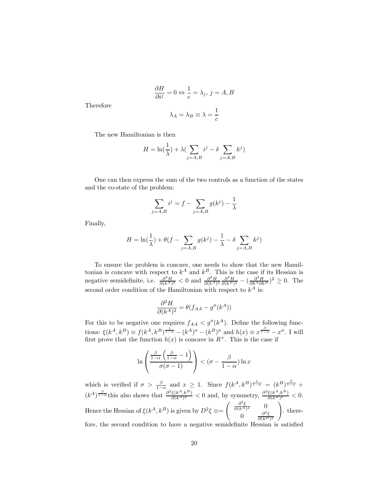$$
\frac{\partial H}{\partial i^j} = 0 \Leftrightarrow \frac{1}{c} = \lambda_j, j = A, B
$$

$$
\lambda_A = \lambda_B \equiv \lambda = \frac{1}{c}
$$

Therefore

The new Hamiltonian is then

$$
H = \ln(\frac{1}{\lambda}) + \lambda \left( \sum_{j=A,B} i^j - \delta \sum_{j=A,B} k^j \right)
$$

One can then express the sum of the two controls as a function of the states and the co-state of the problem:

$$
\sum_{j=A,B} i^j = f - \sum_{j=A,B} g(k^j) - \frac{1}{\lambda}
$$

Finally,

$$
H = \ln(\frac{1}{\lambda}) + \theta(f - \sum_{j=A,B} g(k^{j}) - \frac{1}{\lambda} - \delta \sum_{j=A,B} k^{j})
$$

To ensure the problem is concave, one needs to show that the new Hamiltonian is concave with respect to  $k^A$  and  $k^B$ . This is the case if its Hessian is negative semidefinite, i.e.  $\frac{\partial^2 H}{\partial (k^A)^2} < 0$  and  $\frac{\partial^2 H}{\partial (k^A)^2} \frac{\partial^2 H}{\partial (k^B)^2} - (\frac{\partial^2 H}{\partial k^A \partial k^B})^2 \ge 0$ . The second order condition of the Hamiltonian with respect to  $k^A$  is:

$$
\frac{\partial^2 H}{\partial (k^A)^2} = \theta(f_{AA} - g''(k^A))
$$

For this to be negative one requires  $f_{AA} < g''(k^A)$ . Define the following functions:  $\xi(k^A, k^B) \equiv f(k^A, k^B) \frac{1}{1-\alpha} - (k^A)^\sigma - (k^B)^\sigma$  and  $h(x) \equiv x^{\frac{\beta}{1-\alpha}} - x^\sigma$ . I will first prove that the function  $h(x)$  is concave in  $R^+$ . This is the case if

$$
\ln\left(\frac{\frac{\beta}{1-\alpha}\left(\frac{\beta}{1-\alpha}-1\right)}{\sigma(\sigma-1)}\right) < (\sigma-\frac{\beta}{1-\alpha})\ln x
$$

which is verified if  $\sigma > \frac{\beta}{1-\alpha}$  and  $x \geq 1$ . Since  $f(k^A, k^B)^\frac{1}{1-\alpha} = (k^B)^\frac{\beta}{1-\alpha}$  $(k^A)^{\frac{\beta}{1-\alpha}}$  this also shows that  $\frac{\partial^2 \xi(k^A, k^B)}{\partial (k^A)^2}$  $\frac{\xi(k^A, k^B)}{\partial (k^A)^2}$  < 0 and, by symmetry,  $\frac{\partial^2 \xi(k^A, k^B)}{\partial (k^B)^2}$  $\frac{\xi(\kappa,\kappa)}{\partial (k^B)^2} < 0.$ Hence the Hessian of  $\xi(k^A, k^B)$  is given by  $D^2 \xi \equiv$  $\int \frac{\partial^2 \xi}{\partial (k^A)^2}$  0 0  $\frac{\partial^2 \xi}{\partial (k^B)^2}$ ! . therefore, the second condition to have a negative semidefinite Hessian is satisfied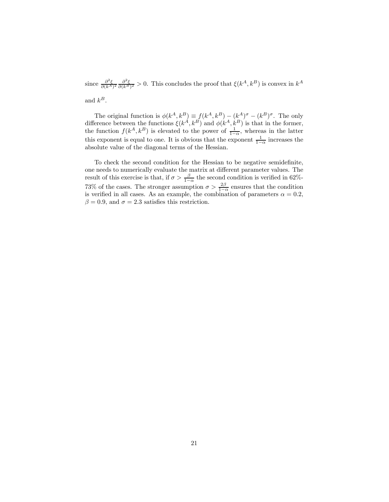since  $\frac{\partial^2 \xi}{\partial (k^A)^2} \frac{\partial^2 \xi}{\partial (k^B)^2} > 0$ . This concludes the proof that  $\xi(k^A, k^B)$  is convex in  $k^A$ and  $k^B$ .

The original function is  $\phi(k^A, k^B) \equiv f(k^A, k^B) - (k^A)^{\sigma} - (k^B)^{\sigma}$ . The only difference between the functions  $\xi(k^A, k^B)$  and  $\phi(k^A, k^B)$  is that in the former, the function  $f(k^A, k^B)$  is elevated to the power of  $\frac{1}{1-\alpha}$ , whereas in the latter this exponent is equal to one. It is obvious that the exponent  $\frac{1}{1-\alpha}$  increases the absolute value of the diagonal terms of the Hessian.

To check the second condition for the Hessian to be negative semidefinite, one needs to numerically evaluate the matrix at different parameter values. The result of this exercise is that, if  $\sigma > \frac{\beta}{1-\alpha}$  the second condition is verified in 62%-73% of the cases. The stronger assumption  $\sigma > \frac{2\beta}{1-\alpha}$  ensures that the condition is verified in all cases. As an example, the combination of parameters  $\alpha = 0.2$ ,  $\beta = 0.9$ , and  $\sigma = 2.3$  satisfies this restriction.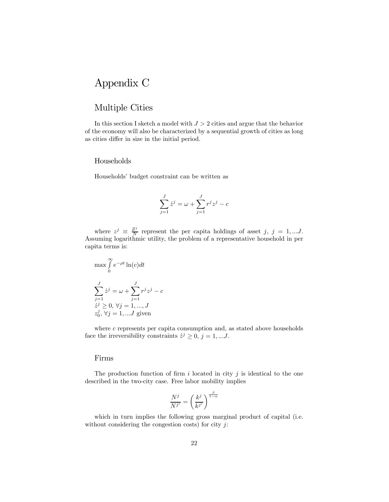## Appendix C

## Multiple Cities

In this section I sketch a model with  $J > 2$  cities and argue that the behavior of the economy will also be characterized by a sequential growth of cities as long as cities differ in size in the initial period.

#### Households

Households' budget constraint can be written as

$$
\sum_{j=1}^{J} \dot{z}^j = \omega + \sum_{j=1}^{J} r^j z^j - c
$$

where  $z^j \equiv \frac{Z^j}{N}$  $\frac{Z^j}{N}$  represent the per capita holdings of asset j, j = 1,...J. Assuming logarithmic utility, the problem of a representative household in per capita terms is:

$$
\max \int_{0}^{\infty} e^{-\rho t} \ln(c) dt
$$

$$
\sum_{j=1}^{J} \dot{z}^{j} = \omega + \sum_{j=1}^{J} r^{j} z^{j} - c
$$

$$
\dot{z}^{j} \ge 0, \forall j = 1, ..., J
$$

$$
z_{0}^{j}, \forall j = 1, ... J \text{ given}
$$

where  $c$  represents per capita consumption and, as stated above households face the irreversibility constraints  $\dot{z}^j \geq 0$ ,  $j = 1, ...J$ .

#### Firms

The production function of firm i located in city  $j$  is identical to the one described in the two-city case. Free labor mobility implies

$$
\frac{N^j}{N^{j'}} = \left(\frac{k^j}{k^{j'}}\right)^{\frac{\beta}{1-\alpha}}
$$

which in turn implies the following gross marginal product of capital (i.e. without considering the congestion costs) for city  $j$ :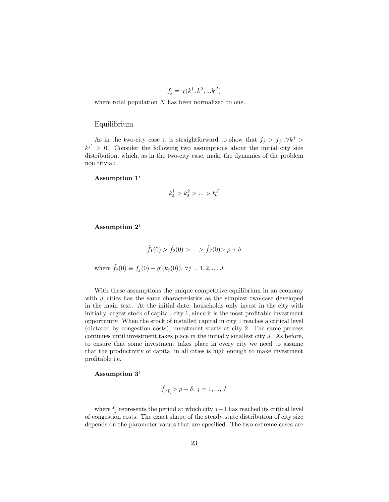$$
f_j = \chi(k^1, k^2, \dots k^J)
$$

where total population  $N$  has been normalized to one.

#### Equilibrium

As in the two-city case it is straightforward to show that  $f_j > f_{j'}$ ,  $\forall k^j >$  $k^{j'} > 0$ . Consider the following two assumptions about the initial city size distribution, which, as in the two-city case, make the dynamics of the problem non trivial:

Assumption 1'

$$
k_0^1 > k_0^2 > \ldots > k_0^J
$$

Assumption 2'

$$
\tilde{f}_1(0) > \tilde{f}_2(0) > \dots > \tilde{f}_J(0) > \rho + \delta
$$
  
where  $\tilde{f}_j(0) \equiv f_j(0) - g'(k_j(0)), \forall j = 1, 2, ..., J$ 

With these assumptions the unique competitive equilibrium in an economy with  $J$  cities has the same characteristics as the simplest two-case developed in the main text. At the initial date, households only invest in the city with initially largest stock of capital, city 1, since it is the most profitable investment opportunity. When the stock of installed capital in city 1 reaches a critical level (dictated by congestion costs), investment starts at city 2. The same process continues until investment takes place in the initially smallest city J. As before, to ensure that some investment takes place in every city we need to assume that the productivity of capital in all cities is high enough to make investment profitable i.e.

#### Assumption 3'

$$
\tilde{f}_{j'}\hat{t}_j > \rho + \delta, \, j = 1,...,J
$$

where  $\hat{t}_j$  represents the period at which city j−1 has reached its critical level of congestion costs. The exact shape of the steady state distribution of city size depends on the parameter values that are specified. The two extreme cases are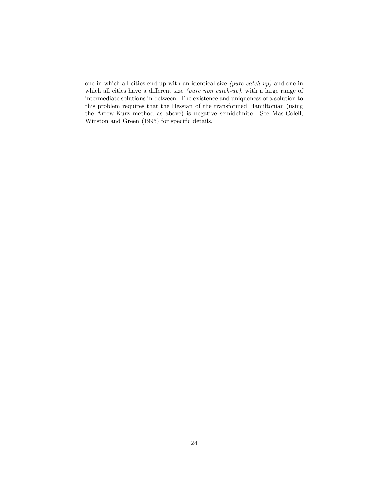one in which all cities end up with an identical size (pure catch-up) and one in which all cities have a different size *(pure non catch-up)*, with a large range of intermediate solutions in between. The existence and uniqueness of a solution to this problem requires that the Hessian of the transformed Hamiltonian (using the Arrow-Kurz method as above) is negative semidefinite. See Mas-Colell, Winston and Green (1995) for specific details.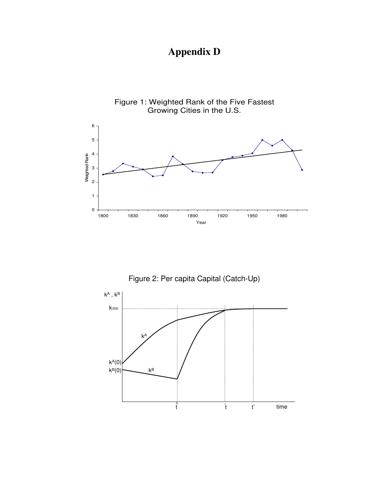# **Appendix D**



Figure 2: Per capita Capital (Catch-Up)

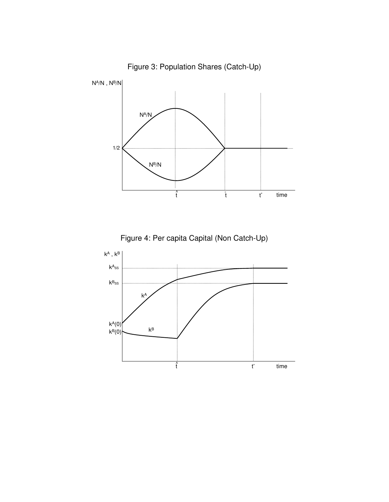

Figure 3: Population Shares (Catch-Up)



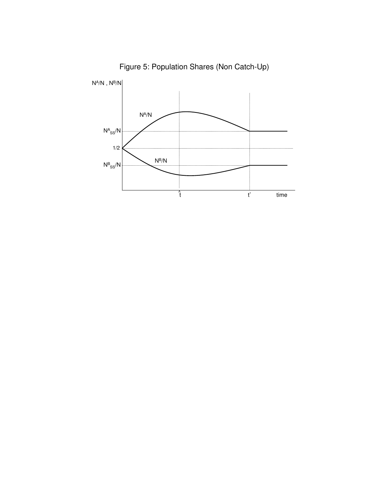

Figure 5: Population Shares (Non Catch-Up)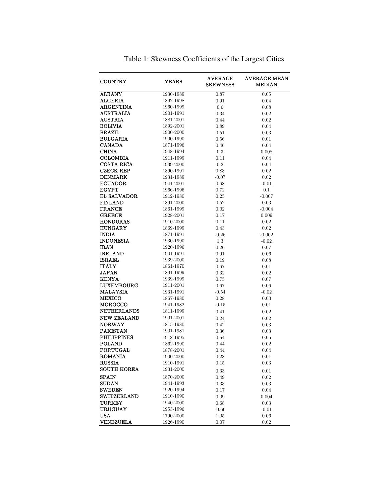| <b>COUNTRY</b>     | <b>YEARS</b>           | <b>AVERAGE</b><br><b>SKEWNESS</b> | <b>AVERAGE MEAN-</b><br><b>MEDIAN</b> |
|--------------------|------------------------|-----------------------------------|---------------------------------------|
| <b>ALBANY</b>      | 1930-1989              | 0.87                              | 0.05                                  |
| <b>ALGERIA</b>     | 1892-1998              | 0.91                              | 0.04                                  |
| <b>ARGENTINA</b>   | 1960-1999              | 0.6                               | 0.08                                  |
| <b>AUSTRALIA</b>   | 1901-1991              | 0.34                              | 0.02                                  |
| <b>AUSTRIA</b>     | 1881-2001              | 0.44                              | 0.02                                  |
| <b>BOLIVIA</b>     | 1892-2001              | 0.89                              | 0.04                                  |
| <b>BRAZIL</b>      | 1900-2000              | 0.51                              | 0.03                                  |
| <b>BULGARIA</b>    | 1900-1990              | 0.56                              | 0.01                                  |
| <b>CANADA</b>      | 1871-1996              | 0.46                              | 0.04                                  |
| <b>CHINA</b>       | 1948-1994              | 0.3                               | 0.008                                 |
| <b>COLOMBIA</b>    | 1911-1999              | 0.11                              | 0.04                                  |
| COSTA RICA         | 1939-2000              | 0.2                               | 0.04                                  |
| <b>CZECK REP</b>   | 1890-1991              | 0.83                              | 0.02                                  |
| <b>DENMARK</b>     | 1931-1989              | $-0.07$                           | 0.02                                  |
| <b>ECUADOR</b>     | 1941-2001              | 0.68                              | $-0.01$                               |
| <b>EGYPT</b>       | 1966-1996              | 0.72                              | 0.1                                   |
| EL SALVADOR        | 1912-1980              | 0.25                              | $-0.007$                              |
| <b>FINLAND</b>     | 1891-2000              | 0.52                              | 0.03                                  |
| <b>FRANCE</b>      | 1861-1999              | 0.02                              | $-0.004$                              |
| <b>GREECE</b>      | 1928-2001              | 0.17                              | 0.009                                 |
| <b>HONDURAS</b>    | 1910-2000              | 0.11                              | 0.02                                  |
| <b>HUNGARY</b>     | 1869-1999              | 0.43                              | 0.02                                  |
| <b>INDIA</b>       | 1871-1991              | $-0.26$                           | $-0.002$                              |
| <b>INDONESIA</b>   | 1930-1990              | $1.3\,$                           | $-0.02$                               |
| <b>IRAN</b>        | 1920-1996              | 0.26                              | 0.07                                  |
| <b>IRELAND</b>     | 1901-1991              | 0.91                              | 0.06                                  |
| <b>ISRAEL</b>      | 1939-2000              | 0.19                              | 0.08                                  |
| <b>ITALY</b>       | 1861-1970              | 0.67                              | 0.01                                  |
| <b>JAPAN</b>       | 1891-1999              | 0.32                              | 0.02                                  |
| <b>KENYA</b>       | 1939-1999              | 0.75                              | 0.07                                  |
| <b>LUXEMBOURG</b>  | 1911-2001              | 0.67                              | 0.06                                  |
| <b>MALAYSIA</b>    | 1931-1991              | $-0.54$                           | $-0.02$                               |
| <b>MEXICO</b>      | 1867-1980              | 0.28                              | 0.03                                  |
| MOROCCO            | 1941-1982              | $-0.15$                           | 0.01                                  |
| <b>NETHERLANDS</b> | 1811-1999              | 0.41                              | 0.02                                  |
| <b>NEW ZEALAND</b> | 1901-2001              |                                   |                                       |
| <b>NORWAY</b>      | 1815-1980              | 0.24<br>0.42                      | 0.02<br>0.03                          |
| <b>PAKISTAN</b>    | 1901-1981              | 0.36                              |                                       |
| <b>PHILIPPINES</b> |                        |                                   | 0.03                                  |
| <b>POLAND</b>      | 1918-1995<br>1862-1990 | 0.54                              | 0.05                                  |
| <b>PORTUGAL</b>    |                        | 0.44                              | 0.02                                  |
|                    | 1878-2001              | 0.44                              | 0.04                                  |
| <b>ROMANIA</b>     | 1900-2000              | 0.28                              | 0.01                                  |
| <b>RUSSIA</b>      | 1910-1991              | 0.15                              | 0.03                                  |
| <b>SOUTH KOREA</b> | 1931-2000              | 0.33                              | 0.01                                  |
| <b>SPAIN</b>       | 1870-2000              | 0.49                              | 0.02                                  |
| <b>SUDAN</b>       | 1941-1993              | 0.33                              | 0.03                                  |
| <b>SWEDEN</b>      | 1920-1994              | 0.17                              | 0.04                                  |
| <b>SWITZERLAND</b> | 1910-1990              | 0.09                              | 0.004                                 |
| <b>TURKEY</b>      | 1940-2000              | 0.68                              | 0.03                                  |
| <b>URUGUAY</b>     | 1953-1996              | $-0.66$                           | $-0.01$                               |
| <b>USA</b>         | 1790-2000              | 1.05                              | 0.06                                  |
| <b>VENEZUELA</b>   | 1926-1990              | 0.07                              | 0.02                                  |

Table 1: Skewness Coefficients of the Largest Cities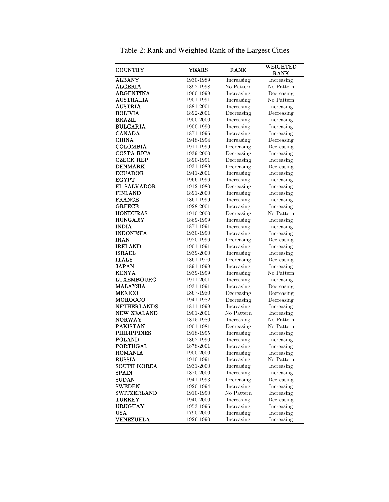| COUNTRY                             | <b>YEARS</b>           | <b>RANK</b>              | <b>WEIGHTED</b>          |
|-------------------------------------|------------------------|--------------------------|--------------------------|
|                                     |                        |                          | <b>RANK</b>              |
| <b>ALBANY</b>                       | 1930-1989              | Increasing               | Increasing               |
| <b>ALGERIA</b>                      | 1892-1998              | No Pattern               | No Pattern               |
| <b>ARGENTINA</b>                    | 1960-1999              | Increasing               | Decreasing               |
| <b>AUSTRALIA</b>                    | 1901-1991              | Increasing               | No Pattern               |
| <b>AUSTRIA</b>                      | 1881-2001              | Increasing               | Increasing               |
| <b>BOLIVIA</b>                      | 1892-2001              | Decreasing               | Decreasing               |
| <b>BRAZIL</b>                       | 1900-2000              | Increasing               | Increasing               |
| <b>BULGARIA</b>                     | 1900-1990              | Increasing               | Increasing               |
| <b>CANADA</b>                       | 1871-1996              | Increasing               | Increasing               |
| <b>CHINA</b>                        | 1948-1994              | Increasing               | Decreasing               |
| <b>COLOMBIA</b>                     | 1911-1999              | Decreasing               | Decreasing               |
| COSTA RICA                          | 1939-2000              | Decreasing               | Increasing               |
| <b>CZECK REP</b>                    | 1890-1991              | Decreasing               | Increasing               |
| <b>DENMARK</b>                      | 1931-1989              | Decreasing               | Decreasing               |
| <b>ECUADOR</b>                      | 1941-2001              | Increasing               | Increasing               |
| <b>EGYPT</b>                        | 1966-1996              | Increasing               | Increasing               |
| EL SALVADOR                         | 1912-1980              | Decreasing               | Increasing               |
| <b>FINLAND</b>                      | 1891-2000              | Increasing               | Increasing               |
| <b>FRANCE</b>                       | 1861-1999              | Increasing               | Increasing               |
| <b>GREECE</b>                       | 1928-2001              | Increasing               | Increasing               |
| <b>HONDURAS</b>                     | 1910-2000              | Decreasing               | No Pattern               |
| <b>HUNGARY</b>                      | 1869-1999              | Increasing               | Increasing               |
| <b>INDIA</b>                        | 1871-1991              | Increasing               | Increasing               |
| <b>INDONESIA</b>                    | 1930-1990              | Increasing               | Increasing               |
| <b>IRAN</b>                         | 1920-1996              | Decreasing               | Decreasing               |
| <b>IRELAND</b>                      | 1901-1991              | Increasing               | Increasing               |
| <b>ISRAEL</b>                       | 1939-2000              | Increasing               | Increasing               |
| <b>ITALY</b>                        | 1861-1970              | Decreasing               | Decreasing               |
| <b>JAPAN</b>                        | 1891-1999              | Increasing               | Increasing               |
| <b>KENYA</b>                        | 1939-1999              | Increasing               | No Pattern               |
| LUXEMBOURG                          | 1911-2001              | Increasing               | Increasing               |
| <b>MALAYSIA</b>                     | 1931-1991              | Increasing               | Decreasing               |
| <b>MEXICO</b>                       | 1867-1980              | Decreasing               | Decreasing               |
| <b>MOROCCO</b>                      | 1941-1982              | Decreasing               | Decreasing               |
| <b>NETHERLANDS</b>                  | 1811-1999              | Increasing               | Increasing               |
| <b>NEW ZEALAND</b>                  | 1901-2001              | No Pattern               | Increasing               |
| <b>NORWAY</b>                       | 1815-1980              | Increasing               | No Pattern               |
| <b>PAKISTAN</b>                     | 1901-1981              | Decreasing               | No Pattern               |
| <b>PHILIPPINES</b>                  | 1918-1995              | Increasing               | Increasing               |
| <b>POLAND</b>                       | 1862-1990              | Increasing               | Increasing               |
| PORTUGAL                            | 1878-2001              | Increasing               | Increasing               |
| <b>ROMANIA</b>                      | 1900-2000              | Increasing               | Increasing               |
| <b>RUSSIA</b>                       | 1910-1991              | Increasing               | No Pattern               |
| <b>SOUTH KOREA</b>                  | 1931-2000              | Increasing               | Increasing               |
| <b>SPAIN</b>                        | 1870-2000              | Increasing               | Increasing               |
| <b>SUDAN</b>                        | 1941-1993              | Decreasing               | Decreasing               |
| <b>SWEDEN</b><br><b>SWITZERLAND</b> | 1920-1994              | Increasing               | Increasing               |
|                                     | 1910-1990<br>1940-2000 | No Pattern               | Increasing               |
| <b>TURKEY</b><br><b>URUGUAY</b>     | 1953-1996              | Increasing               | Decreasing               |
|                                     | 1790-2000              | Increasing               | Increasing<br>Increasing |
| USA<br><b>VENEZUELA</b>             | 1926-1990              | Increasing<br>Increasing | Increasing               |
|                                     |                        |                          |                          |

Table 2: Rank and Weighted Rank of the Largest Cities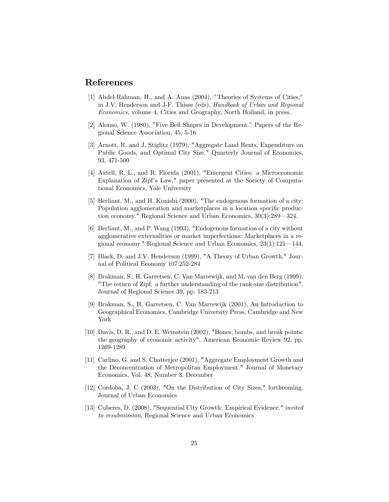### References

- [1] Abdel-Rahman, H., and A. Anas (2004), "Theories of Systems of Cities," in J.V. Henderson and J-F. Thisse (eds), Handbook of Urban and Regional Economics, volume 4, Cities and Geography, North Holland, in press.
- [2] Alonso, W. (1980), "Five Bell Shapes in Development." Papers of the Regional Science Association, 45, 5-16
- [3] Arnott, R. and J. Stiglitz (1979), "Aggregate Land Rents, Expenditure on Public Goods, and Optimal City Size." Quarterly Journal of Economics, 93, 471-500
- [4] Axtell, R. L., and R. Florida (2001), "Emergent Cities: a Microeconomic Explanation of Zipf's Law," paper presented at the Society of Computational Economics, Yale University
- [5] Berliant, M., and H. Konishi.(2000), "The endogenous formation of a city: Population agglomeration and marketplaces in a location specific production economy." Regional Science and Urban Economics, 30(3):289–324.
- [6] Berliant, M., and P. Wang (1993), "Endogenous formation of a city without agglomerative externalities or market imperfections: Marketplaces in a regional economy." Regional Science and Urban Economics, 23(1):121–144.
- [7] Black, D. and J.V. Henderson (1999), "A Theory of Urban Growth." Journal of Political Economy 107:252-284
- [8] Brakman, S., H. Garretsen, C. Van Marrewijk, and M. van den Berg (1999), "The return of Zipf: a further understanding of the rank-size distribution", Journal of Regional Science 39, pp. 183-213
- [9] Brakman, S., H. Garretsen, C. Van Marrewijk (2001), An Introduction to Geographical Economics, Cambridge University Press, Cambridge and New York
- [10] Davis, D. R., and D. E. Weinstein (2002), "Bones, bombs, and break points: the geography of economic activity", American Economic Review 92, pp. 1269-1289
- [11] Carlino, G. and S. Chatterjee (2001), "Aggregate Employment Growth and the Deconcentration of Metropolitan Employment." Journal of Monetary Economics, Vol. 48, Number 3, December
- [12] Cordoba, J. C (2003), "On the Distribution of City Sizes," forthcoming, Journal of Urban Economics
- [13] Cuberes, D. (2008), "Sequential City Growth: Empirical Evidence." *invited* to resubmission, Regional Science and Urban Economics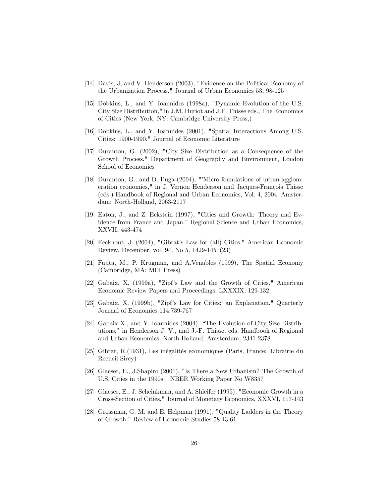- [14] Davis, J, and V. Henderson (2003), "Evidence on the Political Economy of the Urbanization Process." Journal of Urban Economics 53, 98-125
- [15] Dobkins, L., and Y. Ioannides (1998a), "Dynamic Evolution of the U.S. City Size Distribution," in J.M. Huriot and J.F. Thisse eds., The Economics of Cities (New York, NY: Cambridge University Press,)
- [16] Dobkins, L., and Y. Ioannides (2001), "Spatial Interactions Among U.S. Cities: 1900-1990." Journal of Economic Literature
- [17] Duranton, G. (2002), "City Size Distribution as a Consequence of the Growth Process." Department of Geography and Environment, London School of Economics
- [18] Duranton, G., and D. Puga (2004), "'Micro-foundations of urban agglomeration economies," in J. Vernon Henderson and Jacques-François Thisse (eds.) Handbook of Regional and Urban Economics, Vol. 4, 2004. Amsterdam: North-Holland, 2063-2117
- [19] Eaton, J., and Z. Eckstein (1997), "Cities and Growth: Theory and Evidence from France and Japan." Regional Science and Urban Economics, XXVII, 443-474
- [20] Eeckhout, J. (2004), "Gibrat's Law for (all) Cities." American Economic Review, December, vol. 94, No 5, 1429-1451(23)
- [21] Fujita, M., P. Krugman, and A.Venables (1999), The Spatial Economy (Cambridge, MA: MIT Press)
- [22] Gabaix, X. (1999a), "Zipf's Law and the Growth of Cities." American Economic Review Papers and Proceedings, LXXXIX, 129-132
- [23] Gabaix, X. (1999b), "Zipf's Law for Cities: an Explanation." Quarterly Journal of Economics 114:739-767
- [24] Gabaix X., and Y. Ioannides (2004), "The Evolution of City Size Distributions," in Henderson J. V., and J.-F. Thisse, eds. Handbook of Regional and Urban Economics, North-Holland, Amsterdam, 2341-2378.
- [25] Gibrat, R.(1931), Les inégalités economiques (Paris, France: Librairie du Recueil Sirey)
- [26] Glaeser, E., J.Shapiro (2001), "Is There a New Urbanism? The Growth of U.S. Cities in the 1990s." NBER Working Paper No W8357
- [27] Glaeser, E., J. Scheinkman, and A. Shleifer (1995), "Economic Growth in a Cross-Section of Cities." Journal of Monetary Economics, XXXVI, 117-143
- [28] Grossman, G. M. and E. Helpman (1991), "Quality Ladders in the Theory of Growth." Review of Economic Studies 58:43-61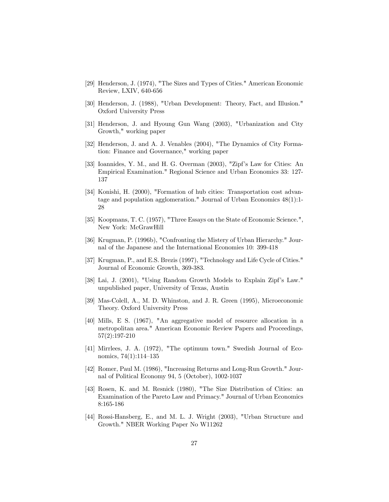- [29] Henderson, J. (1974), "The Sizes and Types of Cities." American Economic Review, LXIV, 640-656
- [30] Henderson, J. (1988), "Urban Development: Theory, Fact, and Illusion." Oxford University Press
- [31] Henderson, J. and Hyoung Gun Wang (2003), "Urbanization and City Growth," working paper
- [32] Henderson, J. and A. J. Venables (2004), "The Dynamics of City Formation: Finance and Governance," working paper
- [33] Ioannides, Y. M., and H. G. Overman (2003), "Zipf's Law for Cities: An Empirical Examination." Regional Science and Urban Economics 33: 127- 137
- [34] Konishi, H. (2000), "Formation of hub cities: Transportation cost advantage and population agglomeration." Journal of Urban Economics 48(1):1- 28
- [35] Koopmans, T. C. (1957), "Three Essays on the State of Economic Science.", New York: McGrawHill
- [36] Krugman, P. (1996b), "Confronting the Mistery of Urban Hierarchy." Journal of the Japanese and the International Economies 10: 399-418
- [37] Krugman, P., and E.S. Brezis (1997), "Technology and Life Cycle of Cities." Journal of Economic Growth, 369-383.
- [38] Lai, J. (2001), "Using Random Growth Models to Explain Zipf's Law." unpublished paper, University of Texas, Austin
- [39] Mas-Colell, A., M. D. Whinston, and J. R. Green (1995), Microeconomic Theory. Oxford University Press
- [40] Mills, E S. (1967), "An aggregative model of resource allocation in a metropolitan area." American Economic Review Papers and Proceedings, 57(2):197-210
- [41] Mirrlees, J. A. (1972), "The optimum town." Swedish Journal of Economics, 74(1):114—135
- [42] Romer, Paul M. (1986), "Increasing Returns and Long-Run Growth." Journal of Political Economy 94, 5 (October), 1002-1037
- [43] Rosen, K. and M. Resnick (1980), "The Size Distribution of Cities: an Examination of the Pareto Law and Primacy." Journal of Urban Economics 8:165-186
- [44] Rossi-Hansberg, E., and M. L. J. Wright (2003), "Urban Structure and Growth." NBER Working Paper No W11262